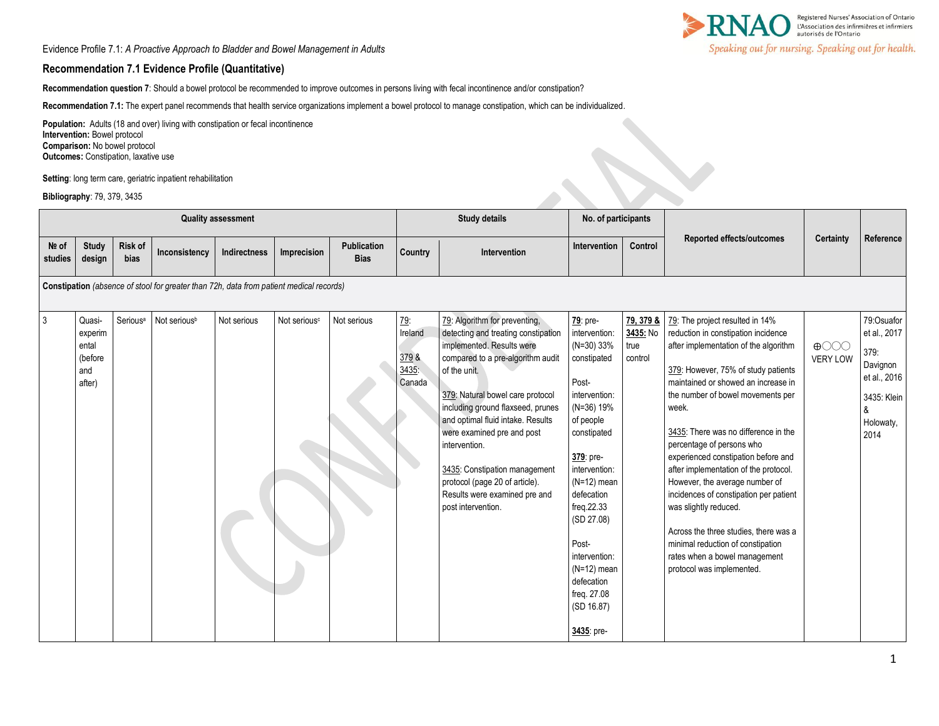Evidence Profile 7.1: *A Proactive Approach to Bladder and Bowel Management in Adults*

## **Recommendation 7.1 Evidence Profile (Quantitative)**

**Recommendation question 7**: Should a bowel protocol be recommended to improve outcomes in persons living with fecal incontinence and/or constipation?

**Recommendation 7.1:** The expert panel recommends that health service organizations implement a bowel protocol to manage constipation, which can be individualized.

Population: Adults (18 and over) living with constipation or fecal incontinence **Intervention:** Bowel protocol **Comparison:** No bowel protocol **Outcomes: Constipation, laxative use** 

**Setting**: long term care, geriatric inpatient rehabilitation

**Bibliography**: 79, 379, 3435

| <b>Quality assessment</b> |                                                        |                      |                                                                                         |              |                          |                                   | <b>Study details</b>                      |                                                                                                                                                                                                                                                                                                                                                                                                                                               | No. of participants                                                                                                                                                                                                                                                                                                         |                                          |                                                                                                                                                                                                                                                                                                                                                                                                                                                                                                                                                                                                                                                   |                                                      |                                                                                                         |
|---------------------------|--------------------------------------------------------|----------------------|-----------------------------------------------------------------------------------------|--------------|--------------------------|-----------------------------------|-------------------------------------------|-----------------------------------------------------------------------------------------------------------------------------------------------------------------------------------------------------------------------------------------------------------------------------------------------------------------------------------------------------------------------------------------------------------------------------------------------|-----------------------------------------------------------------------------------------------------------------------------------------------------------------------------------------------------------------------------------------------------------------------------------------------------------------------------|------------------------------------------|---------------------------------------------------------------------------------------------------------------------------------------------------------------------------------------------------------------------------------------------------------------------------------------------------------------------------------------------------------------------------------------------------------------------------------------------------------------------------------------------------------------------------------------------------------------------------------------------------------------------------------------------------|------------------------------------------------------|---------------------------------------------------------------------------------------------------------|
| Nº of<br>studies          | <b>Study</b><br>design                                 | Risk of<br>bias      | Inconsistency                                                                           | Indirectness | Imprecision              | <b>Publication</b><br><b>Bias</b> | Country                                   | Intervention                                                                                                                                                                                                                                                                                                                                                                                                                                  | <b>Intervention</b>                                                                                                                                                                                                                                                                                                         | Control                                  | Reported effects/outcomes                                                                                                                                                                                                                                                                                                                                                                                                                                                                                                                                                                                                                         | Certainty                                            | Reference                                                                                               |
|                           |                                                        |                      | Constipation (absence of stool for greater than 72h, data from patient medical records) |              |                          |                                   |                                           |                                                                                                                                                                                                                                                                                                                                                                                                                                               |                                                                                                                                                                                                                                                                                                                             |                                          |                                                                                                                                                                                                                                                                                                                                                                                                                                                                                                                                                                                                                                                   |                                                      |                                                                                                         |
| $\overline{3}$            | Quasi-<br>experim<br>ental<br>(before<br>and<br>after) | Serious <sup>a</sup> | Not serious <sup>b</sup>                                                                | Not serious  | Not serious <sup>c</sup> | Not serious                       | 79.<br>Ireland<br>3798<br>3435:<br>Canada | 79: Algorithm for preventing,<br>detecting and treating constipation<br>implemented. Results were<br>compared to a pre-algorithm audit<br>of the unit.<br>379: Natural bowel care protocol<br>including ground flaxseed, prunes<br>and optimal fluid intake. Results<br>were examined pre and post<br>intervention.<br>3435: Constipation management<br>protocol (page 20 of article).<br>Results were examined pre and<br>post intervention. | 79: pre-<br>intervention:<br>$(N=30)$ 33%<br>constipated<br>Post-<br>intervention:<br>$(N=36)$ 19%<br>of people<br>constipated<br>379: pre-<br>intervention:<br>$(N=12)$ mean<br>defecation<br>freq.22.33<br>(SD 27.08)<br>Post-<br>intervention:<br>$(N=12)$ mean<br>defecation<br>freq. 27.08<br>(SD 16.87)<br>3435: pre- | 79, 379 &<br>3435: No<br>true<br>control | 79: The project resulted in 14%<br>reduction in constipation incidence<br>after implementation of the algorithm<br>379: However, 75% of study patients<br>maintained or showed an increase in<br>the number of bowel movements per<br>week.<br>3435: There was no difference in the<br>percentage of persons who<br>experienced constipation before and<br>after implementation of the protocol.<br>However, the average number of<br>incidences of constipation per patient<br>was slightly reduced.<br>Across the three studies, there was a<br>minimal reduction of constipation<br>rates when a bowel management<br>protocol was implemented. | $\bigoplus$ $\bigodot$ $\bigodot$<br><b>VERY LOW</b> | 79:Osuafor<br>et al., 2017<br>379:<br>Davignon<br>et al., 2016<br>3435: Klein<br>&<br>Holowaty,<br>2014 |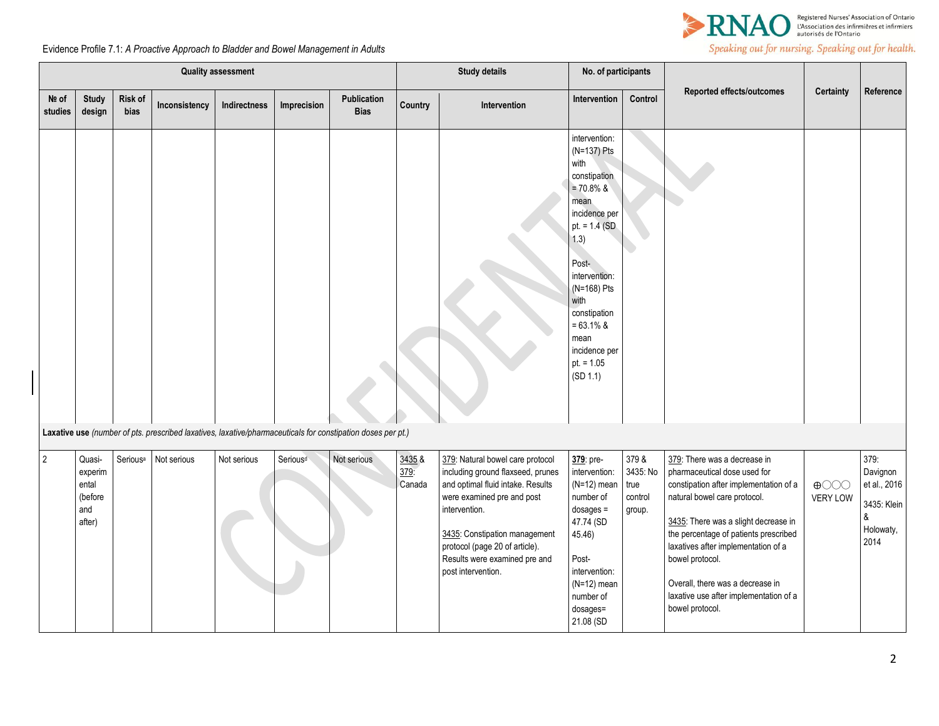

Speaking out for nursing. Speaking out for health.

Evidence Profile 7.1: *A Proactive Approach to Bladder and Bowel Management in Adults*

| <b>Quality assessment</b> |                                                        |                      |               |              |                      |                                                                                                             |                          | <b>Study details</b>                                                                                                                                                                                                                                                                | No. of participants                                                                                                                                                                                                                                             |                                                |                                                                                                                                                                                                                                                                                                                                                                                    |                                |                                                                           |
|---------------------------|--------------------------------------------------------|----------------------|---------------|--------------|----------------------|-------------------------------------------------------------------------------------------------------------|--------------------------|-------------------------------------------------------------------------------------------------------------------------------------------------------------------------------------------------------------------------------------------------------------------------------------|-----------------------------------------------------------------------------------------------------------------------------------------------------------------------------------------------------------------------------------------------------------------|------------------------------------------------|------------------------------------------------------------------------------------------------------------------------------------------------------------------------------------------------------------------------------------------------------------------------------------------------------------------------------------------------------------------------------------|--------------------------------|---------------------------------------------------------------------------|
| Nº of<br>studies          | Study<br>design                                        | Risk of<br>bias      | Inconsistency | Indirectness | Imprecision          | Publication<br><b>Bias</b>                                                                                  | Country                  | Intervention                                                                                                                                                                                                                                                                        | Intervention                                                                                                                                                                                                                                                    | Control                                        | <b>Reported effects/outcomes</b>                                                                                                                                                                                                                                                                                                                                                   | Certainty                      | Reference                                                                 |
|                           |                                                        |                      |               |              |                      |                                                                                                             |                          |                                                                                                                                                                                                                                                                                     | intervention:<br>(N=137) Pts<br>with<br>constipation<br>$= 70.8%$ &<br>mean<br>incidence per<br>pt. = $1.4$ (SD)<br>(1.3)<br>Post-<br>intervention:<br>(N=168) Pts<br>with<br>constipation<br>$= 63.1\%$ &<br>mean<br>incidence per<br>$pt. = 1.05$<br>(SD 1.1) |                                                |                                                                                                                                                                                                                                                                                                                                                                                    |                                |                                                                           |
|                           |                                                        |                      |               |              |                      | Laxative use (number of pts. prescribed laxatives, laxative/pharmaceuticals for constipation doses per pt.) |                          |                                                                                                                                                                                                                                                                                     |                                                                                                                                                                                                                                                                 |                                                |                                                                                                                                                                                                                                                                                                                                                                                    |                                |                                                                           |
| $\overline{2}$            | Quasi-<br>experim<br>ental<br>(before<br>and<br>after) | Serious <sup>a</sup> | Not serious   | Not serious  | Serious <sup>d</sup> | Not serious                                                                                                 | 3435 &<br>379:<br>Canada | 379: Natural bowel care protocol<br>including ground flaxseed, prunes<br>and optimal fluid intake. Results<br>were examined pre and post<br>intervention.<br>3435: Constipation management<br>protocol (page 20 of article).<br>Results were examined pre and<br>post intervention. | 379: pre-<br>intervention:<br>$(N=12)$ mean<br>number of<br>$dosages =$<br>47.74 (SD<br>45.46)<br>Post-<br>intervention:<br>$(N=12)$ mean<br>number of<br>dosages=<br>21.08 (SD                                                                                 | 379 &<br>3435: No<br>true<br>control<br>group. | 379: There was a decrease in<br>pharmaceutical dose used for<br>constipation after implementation of a<br>natural bowel care protocol.<br>3435: There was a slight decrease in<br>the percentage of patients prescribed<br>laxatives after implementation of a<br>bowel protocol.<br>Overall, there was a decrease in<br>laxative use after implementation of a<br>bowel protocol. | $\bigoplus$<br><b>VERY LOW</b> | 379:<br>Davignon<br>et al., 2016<br>3435: Klein<br>&<br>Holowaty,<br>2014 |